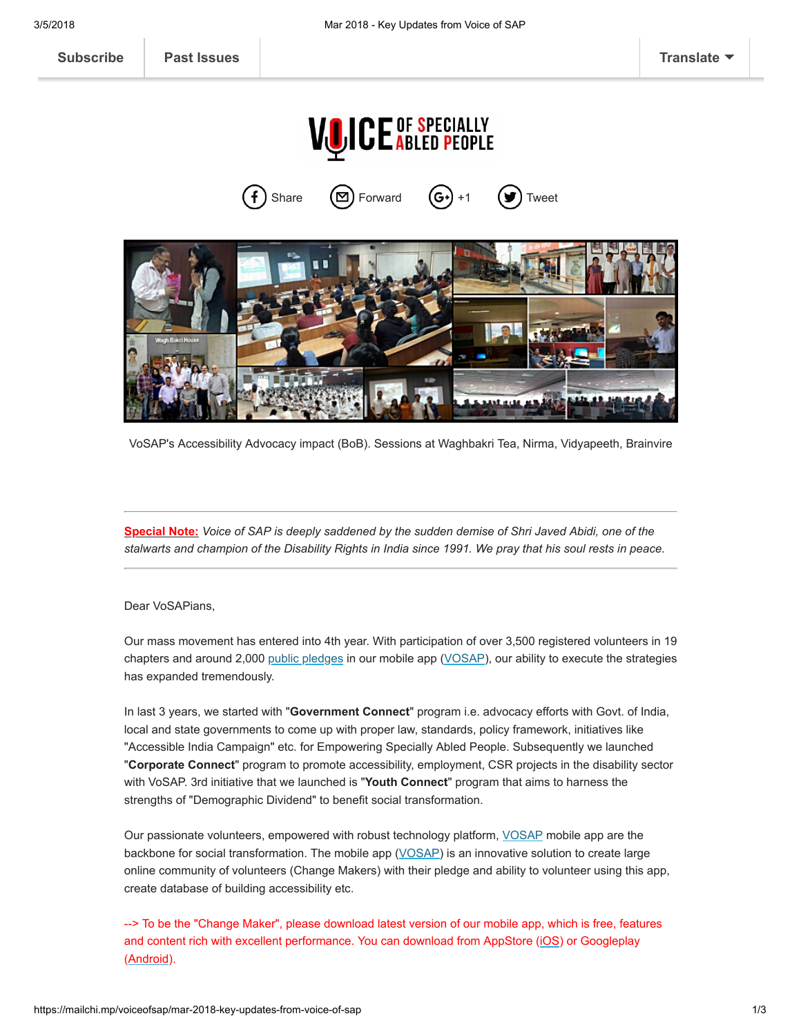

**VOICE OF SPECIALLY** 

VoSAP's Accessibility Advocacy impact (BoB). Sessions at Waghbakri Tea, Nirma, Vidyapeeth, Brainvire

Special Note: Voice of SAP is deeply saddened by the sudden demise of Shri Javed Abidi, one of the stalwarts and champion of the Disability Rights in India since 1991. We pray that his soul rests in peace.

Dear VoSAPians,

Our mass movement has entered into 4th year. With participation of over 3,500 registered volunteers in 19 chapters and around 2,000 [public pledges](https://www.voiceofsap.org/pledges/) in our mobile app ([VOSAP\)](https://play.google.com/store/apps/details?id=com.vosap&hl=en), our ability to execute the strategies has expanded tremendously.

In last 3 years, we started with "Government Connect" program i.e. advocacy efforts with Govt. of India, local and state governments to come up with proper law, standards, policy framework, initiatives like "Accessible India Campaign" etc. for Empowering Specially Abled People. Subsequently we launched "Corporate Connect" program to promote accessibility, employment, CSR projects in the disability sector with VoSAP. 3rd initiative that we launched is "Youth Connect" program that aims to harness the strengths of "Demographic Dividend" to benefit social transformation.

Our passionate volunteers, empowered with robust technology platform, [VOSAP](https://play.google.com/store/apps/details?id=com.vosap&hl=en) mobile app are the backbone for social transformation. The mobile app ([VOSAP](https://itunes.apple.com/us/app/voice-of-sap-vosap/id1265835335?ls=1&mt=8)) is an innovative solution to create large online community of volunteers (Change Makers) with their pledge and ability to volunteer using this app, create database of building accessibility etc.

--> To be the "Change Maker", please download latest version of our mobile app, which is free, features and content rich with excellent performance. You can download from AppStore ([iOS\)](https://itunes.apple.com/us/app/voice-of-sap-vosap/id1265835335?ls=1&mt=8) or Googleplay ([Android](https://play.google.com/store/apps/details?id=com.vosap&hl=en)).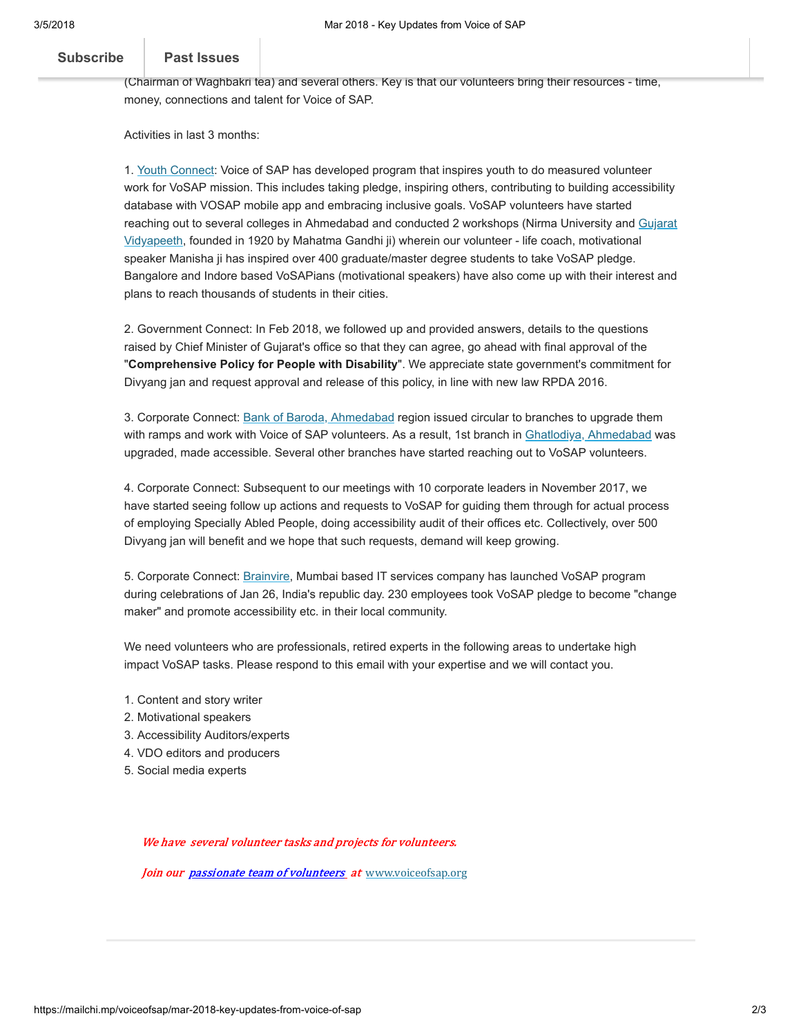## Voi[ce of SAP is receiving g](https://us9.campaign-archive.com/home/?u=5e35d9fe3aa359a6d15a1b1d7&id=3e938fc60b)enerous donations from our volunteer community including business leaders [Subscribe](http://eepurl.com/bT1EYX) | Past Issues

## like Shri Ukaas [Shri Uka Solanki](http://www.bigsaverfoods.com/) (owner of retail chain in the US - Big Saver Foods), Shri Piyushbai Desain Desain Desain Desain Desain Desain Desain Desain Desain Desain Desain Desain Desain Desain Desain Desain Desain De

(Chairman of Waghbakri tea) and several others. Key is that our volunteers bring their resources - time, money, connections and talent for Voice of SAP.

Activities in last 3 months:

1. [Youth Connect:](https://www.voiceofsap.org/news/nirma-uni-1st-join-vosaps-youth-connect-program/) Voice of SAP has developed program that inspires youth to do measured volunteer work for VoSAP mission. This includes taking pledge, inspiring others, contributing to building accessibility database with VOSAP mobile app and embracing inclusive goals. VoSAP volunteers have started [reaching out to several colleges in Ahmedabad and conducted 2 workshops \(Nirma University and Gujarat](https://www.voiceofsap.org/news/gujarat-vidyapeeth-students-joins-vosap-mission/) Vidyapeeth, founded in 1920 by Mahatma Gandhi ji) wherein our volunteer - life coach, motivational speaker Manisha ji has inspired over 400 graduate/master degree students to take VoSAP pledge. Bangalore and Indore based VoSAPians (motivational speakers) have also come up with their interest and plans to reach thousands of students in their cities.

2. Government Connect: In Feb 2018, we followed up and provided answers, details to the questions raised by Chief Minister of Gujarat's office so that they can agree, go ahead with final approval of the "Comprehensive Policy for People with Disability". We appreciate state government's commitment for Divyang jan and request approval and release of this policy, in line with new law RPDA 2016.

3. Corporate Connect: [Bank of Baroda, Ahmedabad](https://www.voiceofsap.org/news/vosap-impact-bank-baroda-started-upgrading-accessibility/) region issued circular to branches to upgrade them with ramps and work with Voice of SAP volunteers. As a result, 1st branch in [Ghatlodiya, Ahmedabad](https://www.voiceofsap.org/news/vosap-impact-bank-baroda-started-upgrading-accessibility/) was upgraded, made accessible. Several other branches have started reaching out to VoSAP volunteers.

4. Corporate Connect: Subsequent to our meetings with 10 corporate leaders in November 2017, we have started seeing follow up actions and requests to VoSAP for guiding them through for actual process of employing Specially Abled People, doing accessibility audit of their offices etc. Collectively, over 500 Divyang jan will benefit and we hope that such requests, demand will keep growing.

5. Corporate Connect: [Brainvire,](https://www.voiceofsap.org/gallery/brainvire-employees-joins-vosap-mission/) Mumbai based IT services company has launched VoSAP program during celebrations of Jan 26, India's republic day. 230 employees took VoSAP pledge to become "change maker" and promote accessibility etc. in their local community.

We need volunteers who are professionals, retired experts in the following areas to undertake high impact VoSAP tasks. Please respond to this email with your expertise and we will contact you.

- 1. Content and story writer
- 2. Motivational speakers
- 3. Accessibility Auditors/experts
- 4. VDO editors and producers
- 5. Social media experts

We have several volunteer tasks and projects for volunteers.

Join our *[passionate](http://voiceofsap.com/wp-login.php?action=register) team of volunteers* at [www.voiceofsap.org](http://www.voiceofsap.com/)